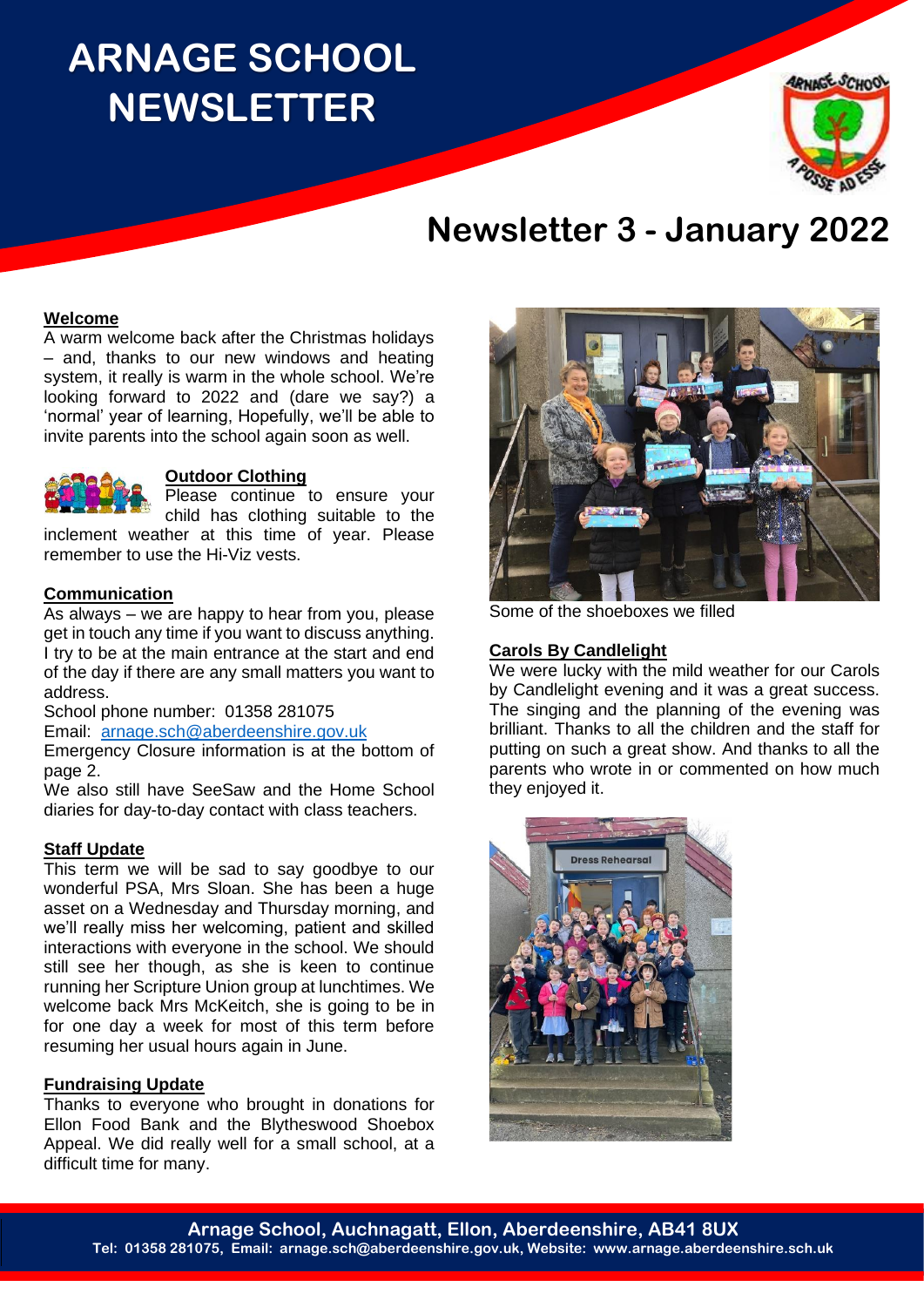## **ARNAGE SCHOOL NEWSLETTER**



### **Newsletter 3 - January 2022**

#### **Welcome**

A warm welcome back after the Christmas holidays – and, thanks to our new windows and heating system, it really is warm in the whole school. We're looking forward to 2022 and (dare we say?) a 'normal' year of learning, Hopefully, we'll be able to invite parents into the school again soon as well.



#### **Outdoor Clothing**

Please continue to ensure your child has clothing suitable to the

inclement weather at this time of year. Please remember to use the Hi-Viz vests.

#### **Communication**

As always – we are happy to hear from you, please get in touch any time if you want to discuss anything. I try to be at the main entrance at the start and end of the day if there are any small matters you want to address.

School phone number: 01358 281075

Email: [arnage.sch@aberdeenshire.gov.uk](mailto:arnage.sch@aberdeenshire.gov.uk)

Emergency Closure information is at the bottom of page 2.

We also still have SeeSaw and the Home School diaries for day-to-day contact with class teachers.

#### **Staff Update**

This term we will be sad to say goodbye to our wonderful PSA, Mrs Sloan. She has been a huge asset on a Wednesday and Thursday morning, and we'll really miss her welcoming, patient and skilled interactions with everyone in the school. We should still see her though, as she is keen to continue running her Scripture Union group at lunchtimes. We welcome back Mrs McKeitch, she is going to be in for one day a week for most of this term before resuming her usual hours again in June.

#### **Fundraising Update**

Thanks to everyone who brought in donations for Ellon Food Bank and the Blytheswood Shoebox Appeal. We did really well for a small school, at a difficult time for many.



Some of the shoeboxes we filled

#### **Carols By Candlelight**

We were lucky with the mild weather for our Carols by Candlelight evening and it was a great success. The singing and the planning of the evening was brilliant. Thanks to all the children and the staff for putting on such a great show. And thanks to all the parents who wrote in or commented on how much they enjoyed it.

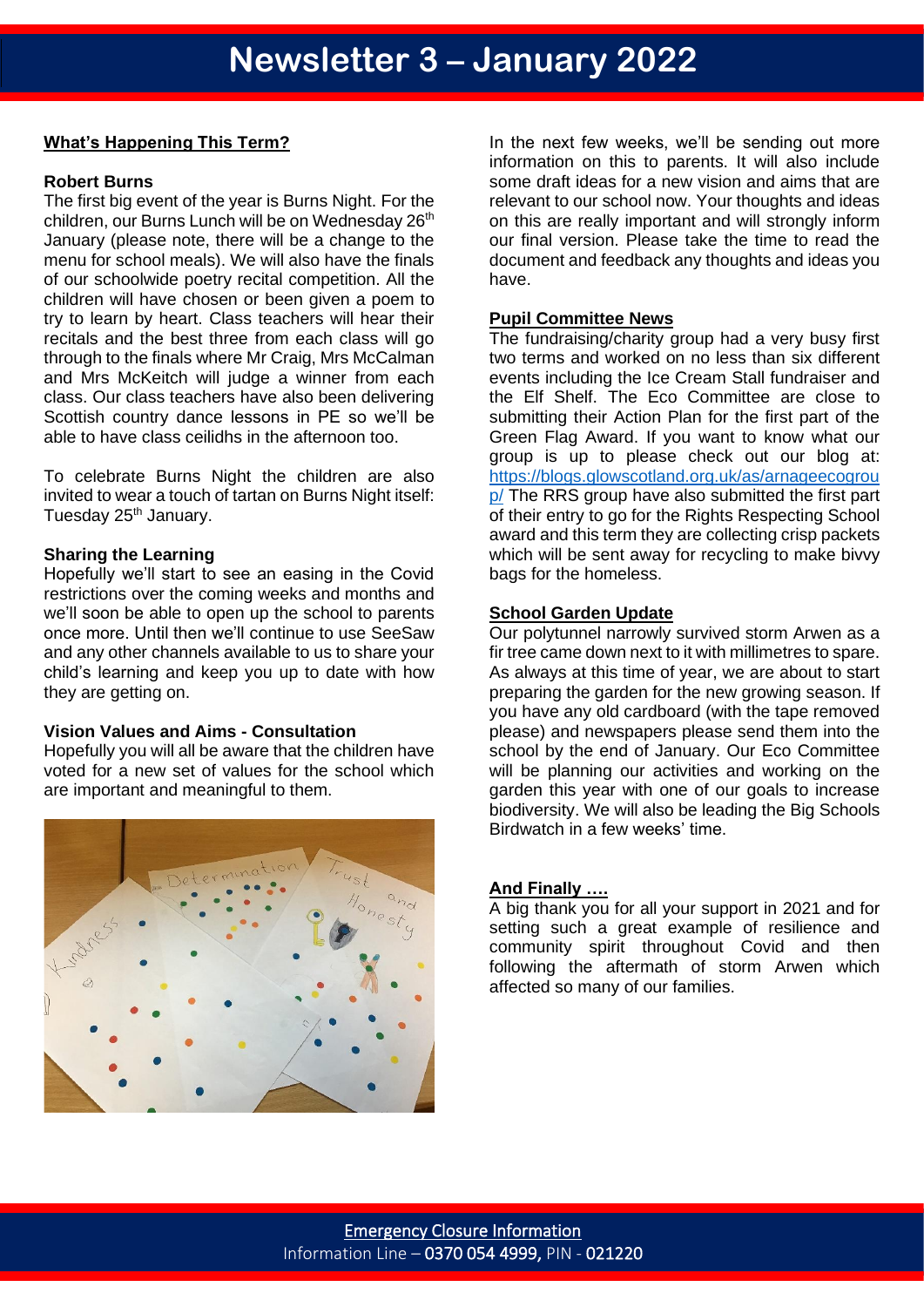#### **What's Happening This Term?**

#### **Robert Burns**

The first big event of the year is Burns Night. For the children, our Burns Lunch will be on Wednesday 26<sup>th</sup> January (please note, there will be a change to the menu for school meals). We will also have the finals of our schoolwide poetry recital competition. All the children will have chosen or been given a poem to try to learn by heart. Class teachers will hear their recitals and the best three from each class will go through to the finals where Mr Craig, Mrs McCalman and Mrs McKeitch will judge a winner from each class. Our class teachers have also been delivering Scottish country dance lessons in PE so we'll be able to have class ceilidhs in the afternoon too.

To celebrate Burns Night the children are also invited to wear a touch of tartan on Burns Night itself: Tuesday 25<sup>th</sup> January.

#### **Sharing the Learning**

Hopefully we'll start to see an easing in the Covid restrictions over the coming weeks and months and we'll soon be able to open up the school to parents once more. Until then we'll continue to use SeeSaw and any other channels available to us to share your child's learning and keep you up to date with how they are getting on.

#### **Vision Values and Aims - Consultation**

Hopefully you will all be aware that the children have voted for a new set of values for the school which are important and meaningful to them.



In the next few weeks, we'll be sending out more information on this to parents. It will also include some draft ideas for a new vision and aims that are relevant to our school now. Your thoughts and ideas on this are really important and will strongly inform our final version. Please take the time to read the document and feedback any thoughts and ideas you have.

#### **Pupil Committee News**

The fundraising/charity group had a very busy first two terms and worked on no less than six different events including the Ice Cream Stall fundraiser and the Elf Shelf. The Eco Committee are close to submitting their Action Plan for the first part of the Green Flag Award. If you want to know what our group is up to please check out our blog at: [https://blogs.glowscotland.org.uk/as/arnageecogrou](https://blogs.glowscotland.org.uk/as/arnageecogroup/) [p/](https://blogs.glowscotland.org.uk/as/arnageecogroup/) The RRS group have also submitted the first part of their entry to go for the Rights Respecting School award and this term they are collecting crisp packets which will be sent away for recycling to make bivvy bags for the homeless.

#### **School Garden Update**

Our polytunnel narrowly survived storm Arwen as a fir tree came down next to it with millimetres to spare. As always at this time of year, we are about to start preparing the garden for the new growing season. If you have any old cardboard (with the tape removed please) and newspapers please send them into the school by the end of January. Our Eco Committee will be planning our activities and working on the garden this year with one of our goals to increase biodiversity. We will also be leading the Big Schools Birdwatch in a few weeks' time.

#### **And Finally ….**

A big thank you for all your support in 2021 and for setting such a great example of resilience and community spirit throughout Covid and then following the aftermath of storm Arwen which affected so many of our families.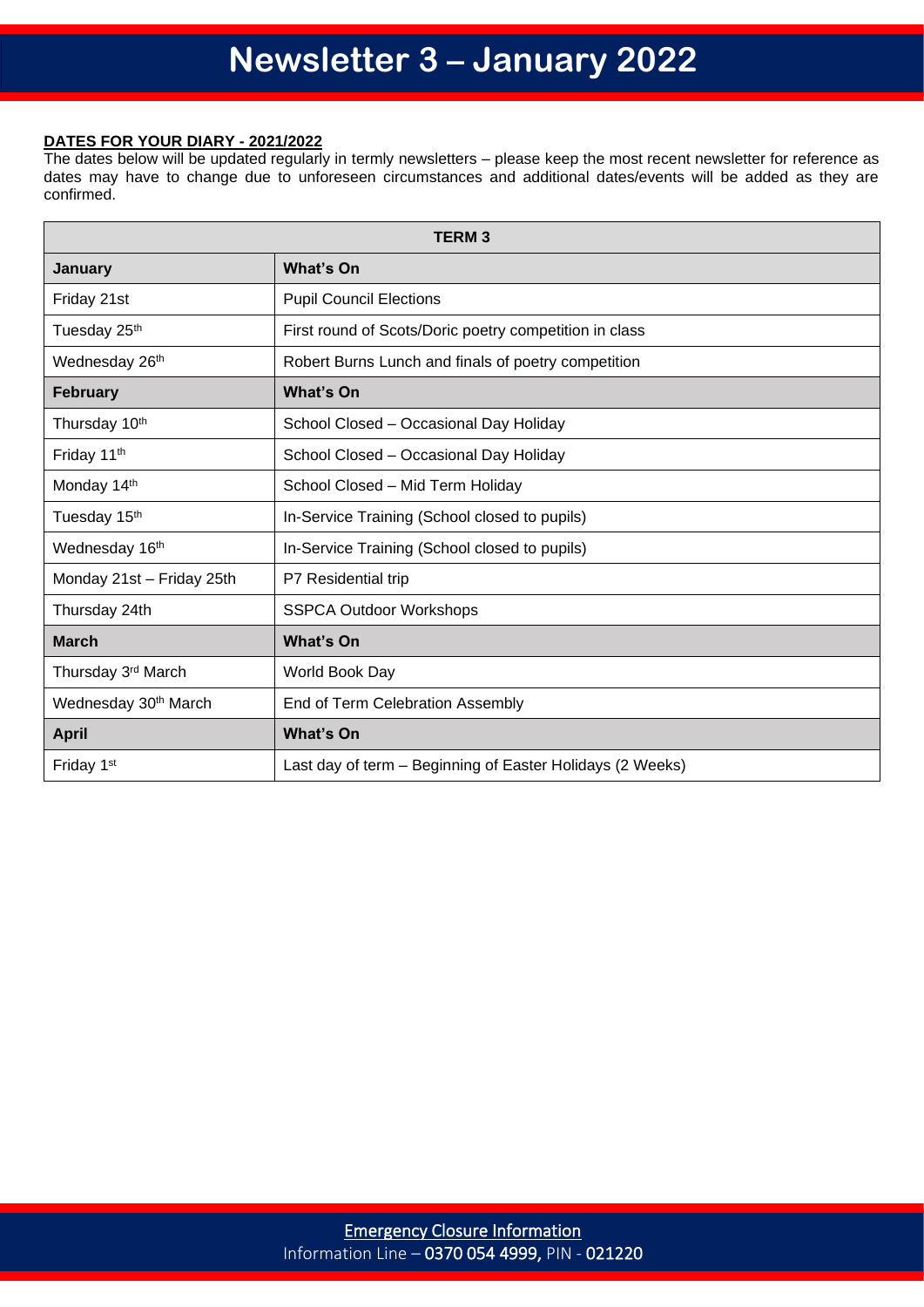#### **DATES FOR YOUR DIARY - 2021/2022**

The dates below will be updated regularly in termly newsletters – please keep the most recent newsletter for reference as dates may have to change due to unforeseen circumstances and additional dates/events will be added as they are confirmed.

| <b>TERM3</b>                     |                                                           |  |
|----------------------------------|-----------------------------------------------------------|--|
| January                          | <b>What's On</b>                                          |  |
| Friday 21st                      | <b>Pupil Council Elections</b>                            |  |
| Tuesday 25 <sup>th</sup>         | First round of Scots/Doric poetry competition in class    |  |
| Wednesday 26th                   | Robert Burns Lunch and finals of poetry competition       |  |
| <b>February</b>                  | <b>What's On</b>                                          |  |
| Thursday 10th                    | School Closed - Occasional Day Holiday                    |  |
| Friday 11th                      | School Closed - Occasional Day Holiday                    |  |
| Monday 14th                      | School Closed - Mid Term Holiday                          |  |
| Tuesday 15th                     | In-Service Training (School closed to pupils)             |  |
| Wednesday 16th                   | In-Service Training (School closed to pupils)             |  |
| Monday 21st - Friday 25th        | P7 Residential trip                                       |  |
| Thursday 24th                    | <b>SSPCA Outdoor Workshops</b>                            |  |
| <b>March</b>                     | <b>What's On</b>                                          |  |
| Thursday 3rd March               | World Book Day                                            |  |
| Wednesday 30 <sup>th</sup> March | End of Term Celebration Assembly                          |  |
| <b>April</b>                     | <b>What's On</b>                                          |  |
| Friday 1 <sup>st</sup>           | Last day of term – Beginning of Easter Holidays (2 Weeks) |  |